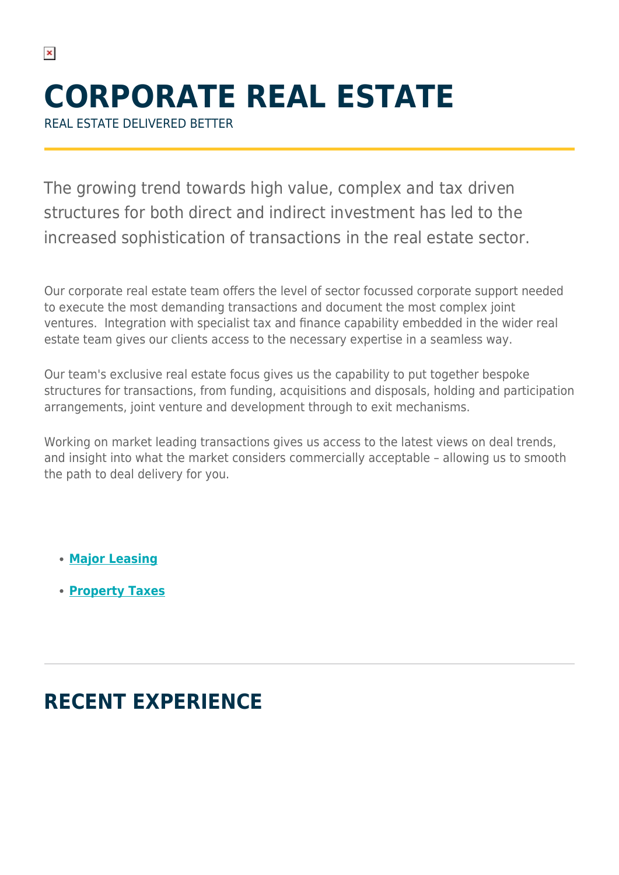# **CORPORATE REAL ESTATE**

REAL ESTATE DELIVERED BETTER

The growing trend towards high value, complex and tax driven structures for both direct and indirect investment has led to the increased sophistication of transactions in the real estate sector.

Our corporate real estate team offers the level of sector focussed corporate support needed to execute the most demanding transactions and document the most complex joint ventures. Integration with specialist tax and finance capability embedded in the wider real estate team gives our clients access to the necessary expertise in a seamless way.

Our team's exclusive real estate focus gives us the capability to put together bespoke structures for transactions, from funding, acquisitions and disposals, holding and participation arrangements, joint venture and development through to exit mechanisms.

Working on market leading transactions gives us access to the latest views on deal trends, and insight into what the market considers commercially acceptable – allowing us to smooth the path to deal delivery for you.

- **[Major Leasing](https://www.herbertsmithfreehills.com/our-expertise/services/major-leasing)**
- **[Property Taxes](https://www.herbertsmithfreehills.com/our-expertise/services/property-taxes)**

# **RECENT EXPERIENCE**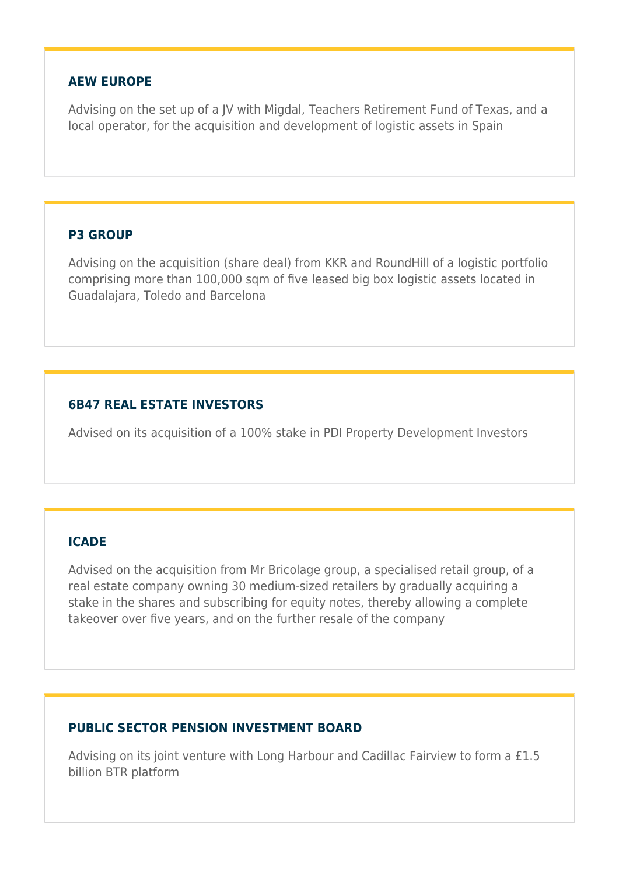#### **AEW EUROPE**

Advising on the set up of a JV with Migdal, Teachers Retirement Fund of Texas, and a local operator, for the acquisition and development of logistic assets in Spain

#### **P3 GROUP**

Advising on the acquisition (share deal) from KKR and RoundHill of a logistic portfolio comprising more than 100,000 sqm of five leased big box logistic assets located in Guadalajara, Toledo and Barcelona

## **6B47 REAL ESTATE INVESTORS**

Advised on its acquisition of a 100% stake in PDI Property Development Investors

## **ICADE**

Advised on the acquisition from Mr Bricolage group, a specialised retail group, of a real estate company owning 30 medium-sized retailers by gradually acquiring a stake in the shares and subscribing for equity notes, thereby allowing a complete takeover over five years, and on the further resale of the company

## **PUBLIC SECTOR PENSION INVESTMENT BOARD**

Advising on its joint venture with Long Harbour and Cadillac Fairview to form a £1.5 billion BTR platform